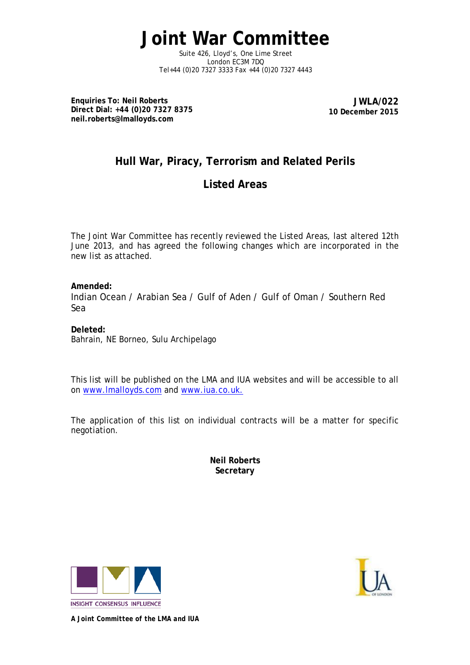**Joint War Committee**

Suite 426, Lloyd's, One Lime Street London EC3M 7DQ Tel+44 (0)20 7327 3333 Fax +44 (0)20 7327 4443

**Enquiries To: Neil Roberts Direct Dial: +44 (0)20 7327 8375 neil.roberts@lmalloyds.com**

**JWLA/022 10 December 2015**

## **Hull War, Piracy, Terrorism and Related Perils**

## **Listed Areas**

The Joint War Committee has recently reviewed the Listed Areas, last altered 12th June 2013, and has agreed the following changes which are incorporated in the new list as attached.

**Amended:** Indian Ocean / Arabian Sea / Gulf of Aden / Gulf of Oman / Southern Red Sea

**Deleted:** Bahrain, NE Borneo, Sulu Archipelago

This list will be published on the LMA and IUA websites and will be accessible to all on [www.lmalloyds.com](http://www.lmalloyds.com/) and [www.iua.co.uk.](http://www.iua.co.uk/)

The application of this list on individual contracts will be a matter for specific negotiation.

> **Neil Roberts Secretary**





*A Joint Committee of the LMA and IUA*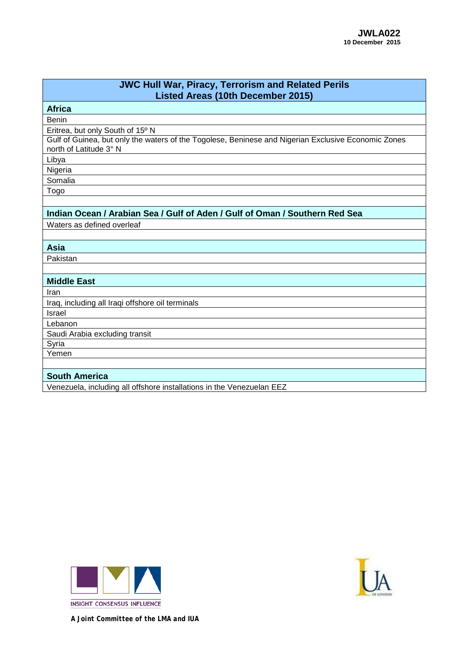| <b>JWC Hull War, Piracy, Terrorism and Related Perils</b><br><b>Listed Areas (10th December 2015)</b>                         |
|-------------------------------------------------------------------------------------------------------------------------------|
| <b>Africa</b>                                                                                                                 |
| <b>Benin</b>                                                                                                                  |
| Eritrea, but only South of 15° N                                                                                              |
| Gulf of Guinea, but only the waters of the Togolese, Beninese and Nigerian Exclusive Economic Zones<br>north of Latitude 3° N |
| Libya                                                                                                                         |
| Nigeria                                                                                                                       |
| Somalia                                                                                                                       |
| Togo                                                                                                                          |
|                                                                                                                               |
| Indian Ocean / Arabian Sea / Gulf of Aden / Gulf of Oman / Southern Red Sea                                                   |
| Waters as defined overleaf                                                                                                    |
|                                                                                                                               |
| Asia                                                                                                                          |
| Pakistan                                                                                                                      |
|                                                                                                                               |
| <b>Middle East</b>                                                                                                            |
| Iran                                                                                                                          |
| Iraq, including all Iraqi offshore oil terminals                                                                              |
| <b>Israel</b>                                                                                                                 |
| Lebanon                                                                                                                       |
| Saudi Arabia excluding transit                                                                                                |
| Syria                                                                                                                         |
| Yemen                                                                                                                         |
|                                                                                                                               |
| <b>South America</b>                                                                                                          |
| Venezuela, including all offshore installations in the Venezuelan EEZ                                                         |





*A Joint Committee of the LMA and IUA*